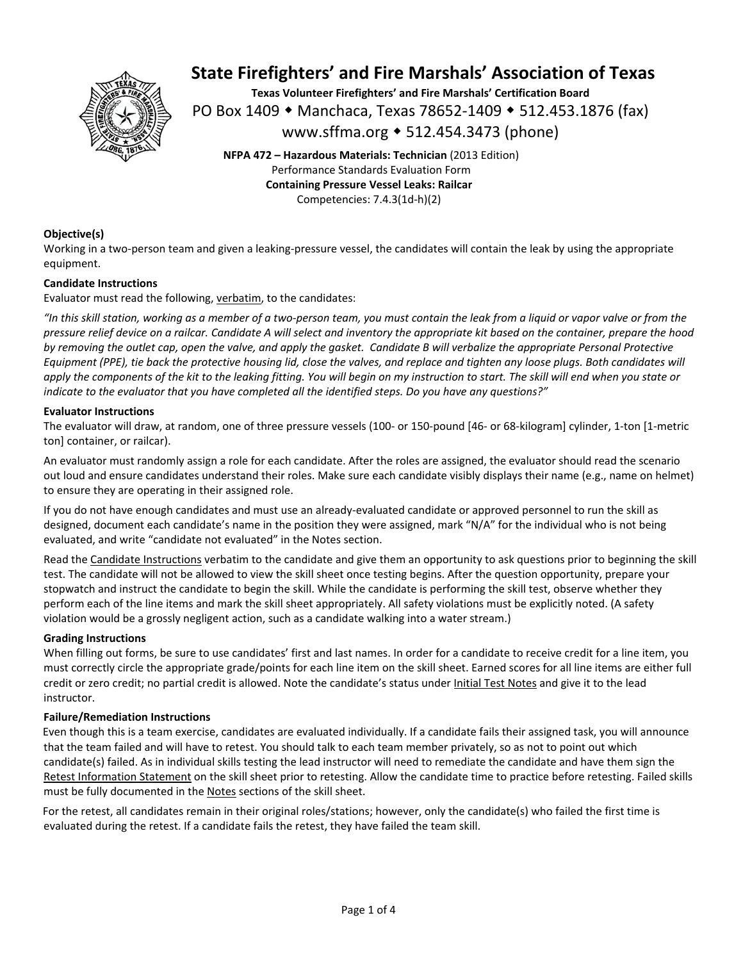

**Texas Volunteer Firefighters' and Fire Marshals' Certification Board**  PO Box 1409 ◆ Manchaca, Texas 78652-1409 ◆ 512.453.1876 (fax) www.sffma.org 512.454.3473 (phone)

**NFPA 472 – Hazardous Materials: Technician** (2013 Edition) Performance Standards Evaluation Form **Containing Pressure Vessel Leaks: Railcar**  Competencies: 7.4.3(1d‐h)(2)

### **Objective(s)**

Working in a two-person team and given a leaking-pressure vessel, the candidates will contain the leak by using the appropriate equipment.

#### **Candidate Instructions**

Evaluator must read the following, verbatim, to the candidates:

*"In this skill station, working as a member of a two‐person team, you must contain the leak from a liquid or vapor valve or from the pressure relief device on a railcar. Candidate A will select and inventory the appropriate kit based on the container, prepare the hood by removing the outlet cap, open the valve, and apply the gasket. Candidate B will verbalize the appropriate Personal Protective Equipment (PPE), tie back the protective housing lid, close the valves, and replace and tighten any loose plugs. Both candidates will apply the components of the kit to the leaking fitting. You will begin on my instruction to start. The skill will end when you state or indicate to the evaluator that you have completed all the identified steps. Do you have any questions?"* 

#### **Evaluator Instructions**

The evaluator will draw, at random, one of three pressure vessels (100‐ or 150‐pound [46‐ or 68‐kilogram] cylinder, 1‐ton [1‐metric ton] container, or railcar).

An evaluator must randomly assign a role for each candidate. After the roles are assigned, the evaluator should read the scenario out loud and ensure candidates understand their roles. Make sure each candidate visibly displays their name (e.g., name on helmet) to ensure they are operating in their assigned role.

If you do not have enough candidates and must use an already‐evaluated candidate or approved personnel to run the skill as designed, document each candidate's name in the position they were assigned, mark "N/A" for the individual who is not being evaluated, and write "candidate not evaluated" in the Notes section.

Read the Candidate Instructions verbatim to the candidate and give them an opportunity to ask questions prior to beginning the skill test. The candidate will not be allowed to view the skill sheet once testing begins. After the question opportunity, prepare your stopwatch and instruct the candidate to begin the skill. While the candidate is performing the skill test, observe whether they perform each of the line items and mark the skill sheet appropriately. All safety violations must be explicitly noted. (A safety violation would be a grossly negligent action, such as a candidate walking into a water stream.)

#### **Grading Instructions**

When filling out forms, be sure to use candidates' first and last names. In order for a candidate to receive credit for a line item, you must correctly circle the appropriate grade/points for each line item on the skill sheet. Earned scores for all line items are either full credit or zero credit; no partial credit is allowed. Note the candidate's status under Initial Test Notes and give it to the lead instructor.

#### **Failure/Remediation Instructions**

Even though this is a team exercise, candidates are evaluated individually. If a candidate fails their assigned task, you will announce that the team failed and will have to retest. You should talk to each team member privately, so as not to point out which candidate(s) failed. As in individual skills testing the lead instructor will need to remediate the candidate and have them sign the Retest Information Statement on the skill sheet prior to retesting. Allow the candidate time to practice before retesting. Failed skills must be fully documented in the Notes sections of the skill sheet.

For the retest, all candidates remain in their original roles/stations; however, only the candidate(s) who failed the first time is evaluated during the retest. If a candidate fails the retest, they have failed the team skill.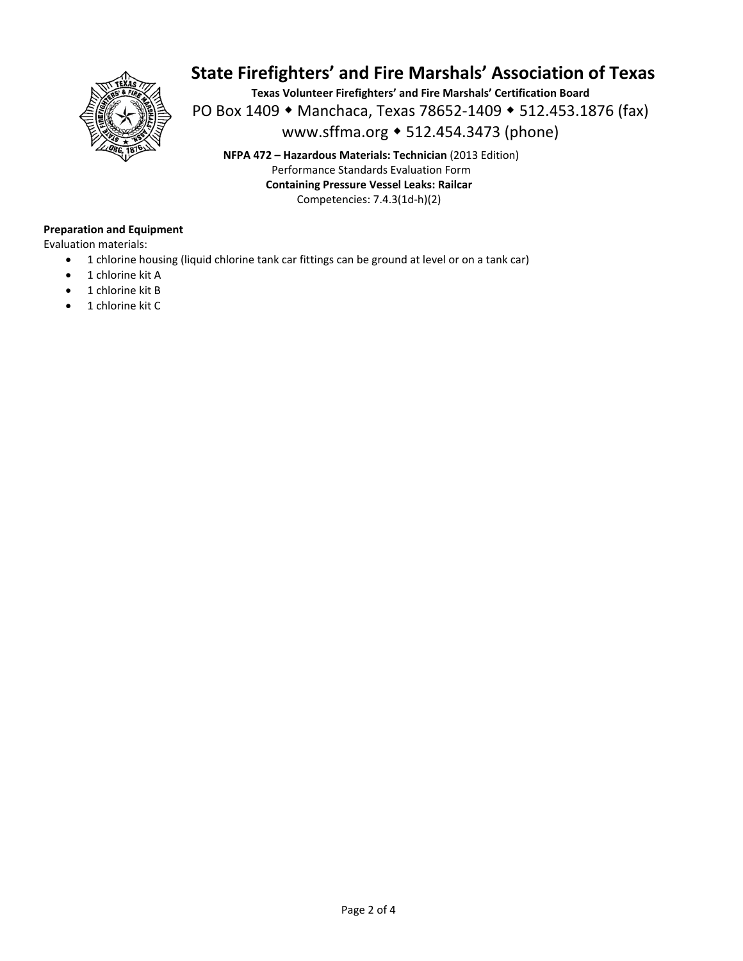

**Texas Volunteer Firefighters' and Fire Marshals' Certification Board**  PO Box 1409 • Manchaca, Texas 78652-1409 • 512.453.1876 (fax) www.sffma.org 512.454.3473 (phone)

**NFPA 472 – Hazardous Materials: Technician** (2013 Edition) Performance Standards Evaluation Form **Containing Pressure Vessel Leaks: Railcar**  Competencies: 7.4.3(1d‐h)(2)

### **Preparation and Equipment**

Evaluation materials:

- 1 chlorine housing (liquid chlorine tank car fittings can be ground at level or on a tank car)
- 1 chlorine kit A
- 1 chlorine kit B
- 1 chlorine kit C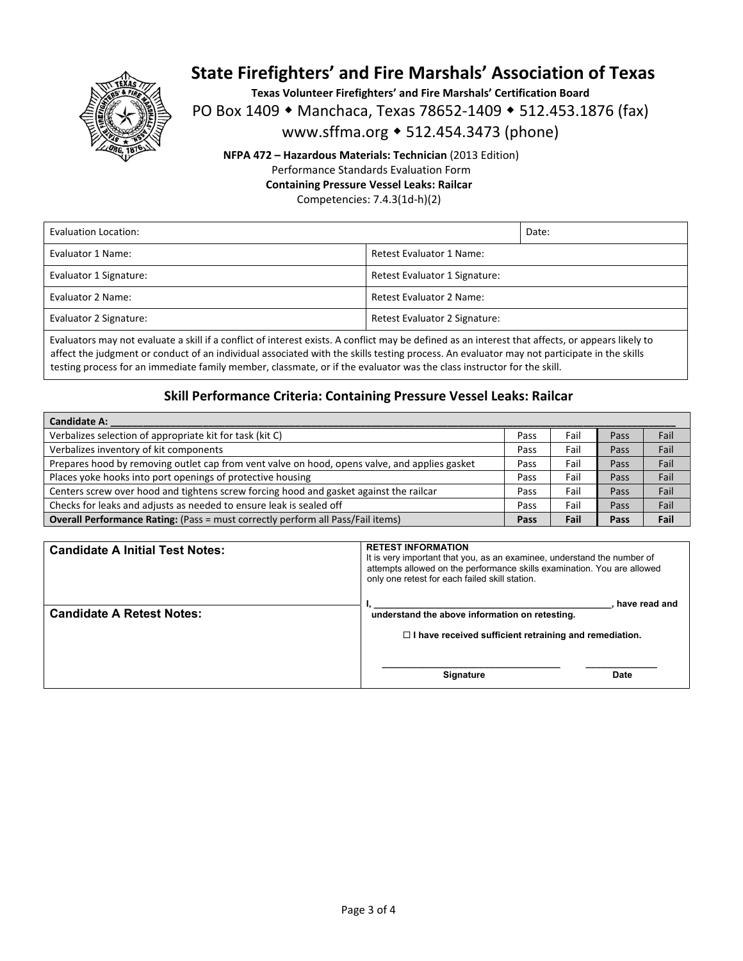

**Texas Volunteer Firefighters' and Fire Marshals' Certification Board** 

PO Box 1409 • Manchaca, Texas 78652-1409 • 512.453.1876 (fax)

www.sffma.org 512.454.3473 (phone)

**NFPA 472 – Hazardous Materials: Technician** (2013 Edition) Performance Standards Evaluation Form **Containing Pressure Vessel Leaks: Railcar** 

Competencies: 7.4.3(1d‐h)(2)

| Evaluation Location:   |                               | Date: |
|------------------------|-------------------------------|-------|
| Evaluator 1 Name:      | Retest Evaluator 1 Name:      |       |
| Evaluator 1 Signature: | Retest Evaluator 1 Signature: |       |
| Evaluator 2 Name:      | Retest Evaluator 2 Name:      |       |
| Evaluator 2 Signature: | Retest Evaluator 2 Signature: |       |
|                        |                               |       |

Evaluators may not evaluate a skill if a conflict of interest exists. A conflict may be defined as an interest that affects, or appears likely to affect the judgment or conduct of an individual associated with the skills testing process. An evaluator may not participate in the skills testing process for an immediate family member, classmate, or if the evaluator was the class instructor for the skill.

### **Skill Performance Criteria: Containing Pressure Vessel Leaks: Railcar**

| <b>Candidate A:</b>                                                                           |      |      |      |      |
|-----------------------------------------------------------------------------------------------|------|------|------|------|
| Verbalizes selection of appropriate kit for task (kit C)                                      | Pass | Fail | Pass | Fail |
| Verbalizes inventory of kit components                                                        | Pass | Fail | Pass | Fail |
| Prepares hood by removing outlet cap from vent valve on hood, opens valve, and applies gasket | Pass | Fail | Pass | Fail |
| Places yoke hooks into port openings of protective housing                                    | Pass | Fail | Pass | Fail |
| Centers screw over hood and tightens screw forcing hood and gasket against the railcar        | Pass | Fail | Pass | Fail |
| Checks for leaks and adjusts as needed to ensure leak is sealed off                           | Pass | Fail | Pass | Fail |
| <b>Overall Performance Rating:</b> (Pass = must correctly perform all Pass/Fail items)        |      | Fail | Pass | Fail |

| <b>Candidate A Initial Test Notes:</b> | <b>RETEST INFORMATION</b><br>It is very important that you, as an examinee, understand the number of<br>attempts allowed on the performance skills examination. You are allowed<br>only one retest for each failed skill station. |
|----------------------------------------|-----------------------------------------------------------------------------------------------------------------------------------------------------------------------------------------------------------------------------------|
| <b>Candidate A Retest Notes:</b>       | have read and<br>understand the above information on retesting.<br>$\Box$ I have received sufficient retraining and remediation.                                                                                                  |
|                                        | Signature<br>Date                                                                                                                                                                                                                 |